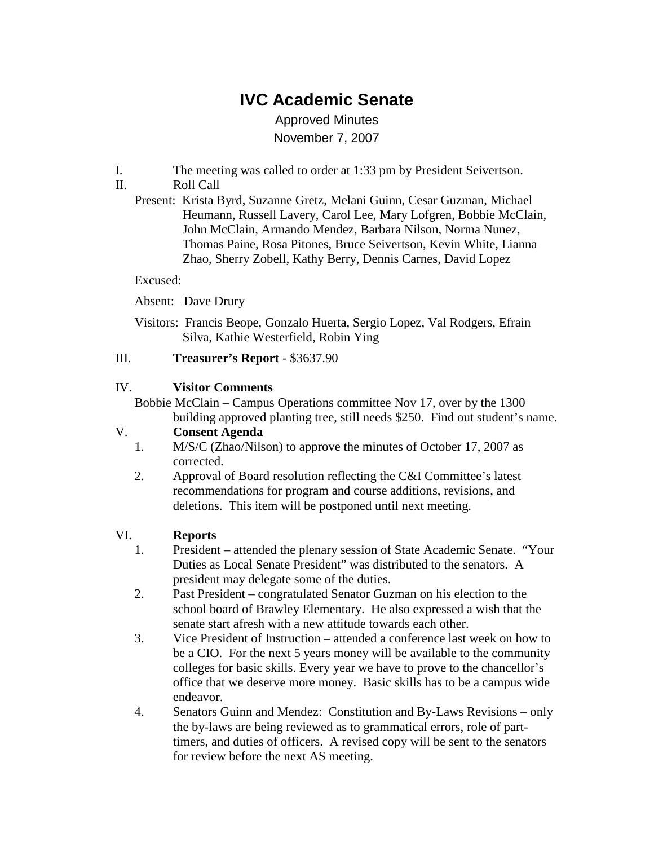# **IVC Academic Senate**

# Approved Minutes November 7, 2007

- I. The meeting was called to order at 1:33 pm by President Seivertson.
- II. Roll Call
	- Present: Krista Byrd, Suzanne Gretz, Melani Guinn, Cesar Guzman, Michael Heumann, Russell Lavery, Carol Lee, Mary Lofgren, Bobbie McClain, John McClain, Armando Mendez, Barbara Nilson, Norma Nunez, Thomas Paine, Rosa Pitones, Bruce Seivertson, Kevin White, Lianna Zhao, Sherry Zobell, Kathy Berry, Dennis Carnes, David Lopez

Excused:

Absent: Dave Drury

Visitors: Francis Beope, Gonzalo Huerta, Sergio Lopez, Val Rodgers, Efrain Silva, Kathie Westerfield, Robin Ying

#### III. **Treasurer's Report** - \$3637.90

#### IV. **Visitor Comments**

Bobbie McClain – Campus Operations committee Nov 17, over by the 1300 building approved planting tree, still needs \$250. Find out student's name.

#### V. **Consent Agenda**

- 1. M/S/C (Zhao/Nilson) to approve the minutes of October 17, 2007 as corrected.
- 2. Approval of Board resolution reflecting the C&I Committee's latest recommendations for program and course additions, revisions, and deletions. This item will be postponed until next meeting.

#### VI. **Reports**

- 1. President attended the plenary session of State Academic Senate. "Your Duties as Local Senate President" was distributed to the senators. A president may delegate some of the duties.
- 2. Past President congratulated Senator Guzman on his election to the school board of Brawley Elementary. He also expressed a wish that the senate start afresh with a new attitude towards each other.
- 3. Vice President of Instruction attended a conference last week on how to be a CIO. For the next 5 years money will be available to the community colleges for basic skills. Every year we have to prove to the chancellor's office that we deserve more money. Basic skills has to be a campus wide endeavor.
- 4. Senators Guinn and Mendez: Constitution and By-Laws Revisions only the by-laws are being reviewed as to grammatical errors, role of parttimers, and duties of officers. A revised copy will be sent to the senators for review before the next AS meeting.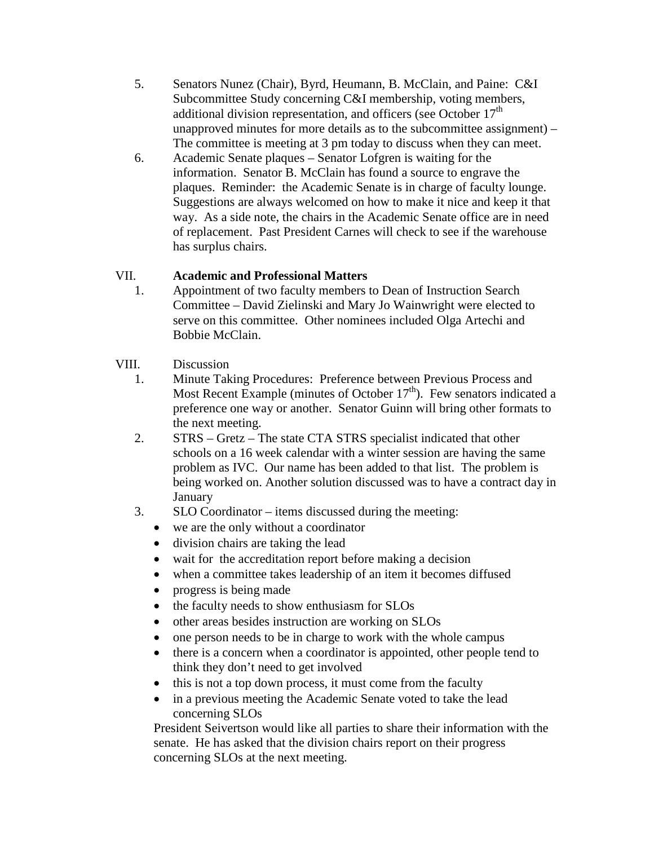- 5. Senators Nunez (Chair), Byrd, Heumann, B. McClain, and Paine: C&I Subcommittee Study concerning C&I membership, voting members, additional division representation, and officers (see October  $17<sup>th</sup>$ unapproved minutes for more details as to the subcommittee assignment) – The committee is meeting at 3 pm today to discuss when they can meet.
- 6. Academic Senate plaques Senator Lofgren is waiting for the information. Senator B. McClain has found a source to engrave the plaques. Reminder: the Academic Senate is in charge of faculty lounge. Suggestions are always welcomed on how to make it nice and keep it that way. As a side note, the chairs in the Academic Senate office are in need of replacement. Past President Carnes will check to see if the warehouse has surplus chairs.

# VII. **Academic and Professional Matters**

1. Appointment of two faculty members to Dean of Instruction Search Committee – David Zielinski and Mary Jo Wainwright were elected to serve on this committee. Other nominees included Olga Artechi and Bobbie McClain.

# VIII. Discussion

- 1. Minute Taking Procedures: Preference between Previous Process and Most Recent Example (minutes of October  $17<sup>th</sup>$ ). Few senators indicated a preference one way or another. Senator Guinn will bring other formats to the next meeting.
- 2. STRS Gretz The state CTA STRS specialist indicated that other schools on a 16 week calendar with a winter session are having the same problem as IVC. Our name has been added to that list. The problem is being worked on. Another solution discussed was to have a contract day in **January**
- 3. SLO Coordinator items discussed during the meeting:
	- we are the only without a coordinator
	- division chairs are taking the lead
	- wait for the accreditation report before making a decision
	- when a committee takes leadership of an item it becomes diffused
	- progress is being made
	- the faculty needs to show enthusiasm for SLOs
	- other areas besides instruction are working on SLOs
	- one person needs to be in charge to work with the whole campus
	- there is a concern when a coordinator is appointed, other people tend to think they don't need to get involved
	- this is not a top down process, it must come from the faculty
	- in a previous meeting the Academic Senate voted to take the lead concerning SLOs

President Seivertson would like all parties to share their information with the senate. He has asked that the division chairs report on their progress concerning SLOs at the next meeting.